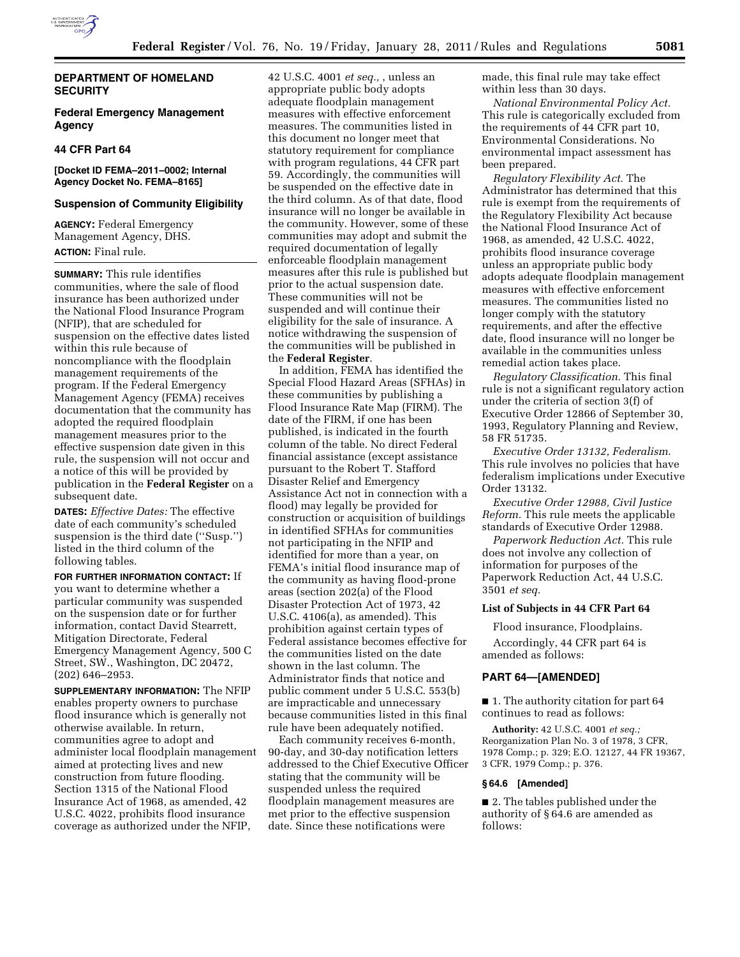

## **DEPARTMENT OF HOMELAND SECURITY**

## **Federal Emergency Management Agency**

## **44 CFR Part 64**

### **[Docket ID FEMA–2011–0002; Internal Agency Docket No. FEMA–8165]**

# **Suspension of Community Eligibility**

**AGENCY:** Federal Emergency Management Agency, DHS. **ACTION:** Final rule.

**SUMMARY:** This rule identifies communities, where the sale of flood insurance has been authorized under the National Flood Insurance Program (NFIP), that are scheduled for suspension on the effective dates listed within this rule because of noncompliance with the floodplain management requirements of the program. If the Federal Emergency Management Agency (FEMA) receives documentation that the community has adopted the required floodplain management measures prior to the effective suspension date given in this rule, the suspension will not occur and a notice of this will be provided by publication in the **Federal Register** on a subsequent date.

**DATES:** *Effective Dates:* The effective date of each community's scheduled suspension is the third date (''Susp.'') listed in the third column of the following tables.

**FOR FURTHER INFORMATION CONTACT:** If you want to determine whether a particular community was suspended on the suspension date or for further information, contact David Stearrett, Mitigation Directorate, Federal Emergency Management Agency, 500 C Street, SW., Washington, DC 20472, (202) 646–2953.

**SUPPLEMENTARY INFORMATION:** The NFIP enables property owners to purchase flood insurance which is generally not otherwise available. In return, communities agree to adopt and administer local floodplain management aimed at protecting lives and new construction from future flooding. Section 1315 of the National Flood Insurance Act of 1968, as amended, 42 U.S.C. 4022, prohibits flood insurance coverage as authorized under the NFIP,

42 U.S.C. 4001 *et seq.,* , unless an appropriate public body adopts adequate floodplain management measures with effective enforcement measures. The communities listed in this document no longer meet that statutory requirement for compliance with program regulations, 44 CFR part 59. Accordingly, the communities will be suspended on the effective date in the third column. As of that date, flood insurance will no longer be available in the community. However, some of these communities may adopt and submit the required documentation of legally enforceable floodplain management measures after this rule is published but prior to the actual suspension date. These communities will not be suspended and will continue their eligibility for the sale of insurance. A notice withdrawing the suspension of the communities will be published in the **Federal Register**.

In addition, FEMA has identified the Special Flood Hazard Areas (SFHAs) in these communities by publishing a Flood Insurance Rate Map (FIRM). The date of the FIRM, if one has been published, is indicated in the fourth column of the table. No direct Federal financial assistance (except assistance pursuant to the Robert T. Stafford Disaster Relief and Emergency Assistance Act not in connection with a flood) may legally be provided for construction or acquisition of buildings in identified SFHAs for communities not participating in the NFIP and identified for more than a year, on FEMA's initial flood insurance map of the community as having flood-prone areas (section 202(a) of the Flood Disaster Protection Act of 1973, 42 U.S.C. 4106(a), as amended). This prohibition against certain types of Federal assistance becomes effective for the communities listed on the date shown in the last column. The Administrator finds that notice and public comment under 5 U.S.C. 553(b) are impracticable and unnecessary because communities listed in this final rule have been adequately notified.

Each community receives 6-month, 90-day, and 30-day notification letters addressed to the Chief Executive Officer stating that the community will be suspended unless the required floodplain management measures are met prior to the effective suspension date. Since these notifications were

made, this final rule may take effect within less than 30 days.

*National Environmental Policy Act.*  This rule is categorically excluded from the requirements of 44 CFR part 10, Environmental Considerations. No environmental impact assessment has been prepared.

*Regulatory Flexibility Act.* The Administrator has determined that this rule is exempt from the requirements of the Regulatory Flexibility Act because the National Flood Insurance Act of 1968, as amended, 42 U.S.C. 4022, prohibits flood insurance coverage unless an appropriate public body adopts adequate floodplain management measures with effective enforcement measures. The communities listed no longer comply with the statutory requirements, and after the effective date, flood insurance will no longer be available in the communities unless remedial action takes place.

*Regulatory Classification.* This final rule is not a significant regulatory action under the criteria of section 3(f) of Executive Order 12866 of September 30, 1993, Regulatory Planning and Review, 58 FR 51735.

*Executive Order 13132, Federalism.*  This rule involves no policies that have federalism implications under Executive Order 13132.

*Executive Order 12988, Civil Justice Reform.* This rule meets the applicable standards of Executive Order 12988.

*Paperwork Reduction Act.* This rule does not involve any collection of information for purposes of the Paperwork Reduction Act, 44 U.S.C. 3501 *et seq.* 

### **List of Subjects in 44 CFR Part 64**

Flood insurance, Floodplains.

Accordingly, 44 CFR part 64 is amended as follows:

# **PART 64—[AMENDED]**

■ 1. The authority citation for part 64 continues to read as follows:

**Authority:** 42 U.S.C. 4001 *et seq.;*  Reorganization Plan No. 3 of 1978, 3 CFR, 1978 Comp.; p. 329; E.O. 12127, 44 FR 19367, 3 CFR, 1979 Comp.; p. 376.

#### **§ 64.6 [Amended]**

■ 2. The tables published under the authority of § 64.6 are amended as follows: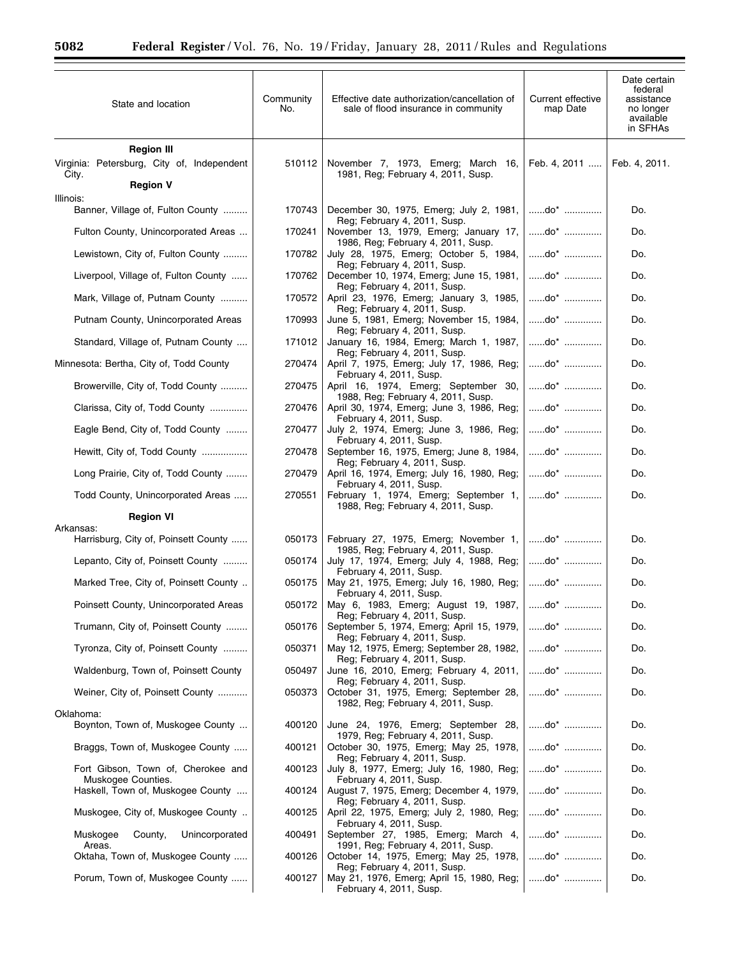$\equiv$ 

e.

| State and location                                                                          | Community<br>No. | Effective date authorization/cancellation of<br>sale of flood insurance in community                 | <b>Current effective</b><br>map Date  | Date certain<br>federal<br>assistance<br>no longer<br>available<br>in SFHAs |
|---------------------------------------------------------------------------------------------|------------------|------------------------------------------------------------------------------------------------------|---------------------------------------|-----------------------------------------------------------------------------|
| <b>Region III</b><br>Virginia: Petersburg, City of, Independent<br>City.<br><b>Region V</b> | 510112           | November 7, 1973, Emerg; March 16,<br>1981, Reg; February 4, 2011, Susp.                             | Feb. 4, 2011                          | Feb. 4, 2011.                                                               |
| Illinois:                                                                                   |                  |                                                                                                      |                                       |                                                                             |
| Banner, Village of, Fulton County                                                           | 170743           | December 30, 1975, Emerg; July 2, 1981,<br>Reg; February 4, 2011, Susp.                              | do*                                   | Do.                                                                         |
| Fulton County, Unincorporated Areas                                                         | 170241           | November 13, 1979, Emerg; January 17,<br>1986, Reg; February 4, 2011, Susp.                          | $$ do* $$                             | Do.                                                                         |
| Lewistown, City of, Fulton County                                                           | 170782           | July 28, 1975, Emerg; October 5, 1984,<br>Reg; February 4, 2011, Susp.                               | $$ do* $$                             | Do.                                                                         |
| Liverpool, Village of, Fulton County                                                        | 170762           | December 10, 1974, Emerg; June 15, 1981,                                                             | $$ do* $$                             | Do.                                                                         |
| Mark, Village of, Putnam County                                                             | 170572           | Reg; February 4, 2011, Susp.<br>April 23, 1976, Emerg; January 3, 1985,                              | $$ do* $$                             | Do.                                                                         |
| Putnam County, Unincorporated Areas                                                         | 170993           | Reg; February 4, 2011, Susp.<br>June 5, 1981, Emerg; November 15, 1984,                              | $\dots \dots$ do* $\dots \dots \dots$ | Do.                                                                         |
| Standard, Village of, Putnam County                                                         | 171012           | Reg; February 4, 2011, Susp.<br>January 16, 1984, Emerg; March 1, 1987,                              | $\dots \dots$ do* $\dots \dots \dots$ | Do.                                                                         |
| Minnesota: Bertha, City of, Todd County                                                     | 270474           | Reg; February 4, 2011, Susp.<br>April 7, 1975, Emerg; July 17, 1986, Reg;                            | $$ do* $$                             | Do.                                                                         |
| Browerville, City of, Todd County                                                           | 270475           | February 4, 2011, Susp.<br>April 16, 1974, Emerg; September 30,                                      | $$ do* $$                             | Do.                                                                         |
| Clarissa, City of, Todd County                                                              | 270476           | 1988, Reg; February 4, 2011, Susp.<br>April 30, 1974, Emerg; June 3, 1986, Reg;                      | $$ do* $$                             | Do.                                                                         |
| Eagle Bend, City of, Todd County                                                            | 270477           | February 4, 2011, Susp.<br>July 2, 1974, Emerg; June 3, 1986, Reg;                                   | $$ do* $$                             | Do.                                                                         |
| Hewitt, City of, Todd County                                                                | 270478           | February 4, 2011, Susp.<br>September 16, 1975, Emerg; June 8, 1984,                                  | $$ do* $$                             | Do.                                                                         |
| Long Prairie, City of, Todd County                                                          | 270479           | Reg; February 4, 2011, Susp.<br>April 16, 1974, Emerg; July 16, 1980, Reg;                           | $$ do* $$                             | Do.                                                                         |
| Todd County, Unincorporated Areas                                                           | 270551           | February 4, 2011, Susp.<br>February 1, 1974, Emerg; September 1,                                     | $\dots \dots$ do* $\dots \dots \dots$ | Do.                                                                         |
| <b>Region VI</b>                                                                            |                  | 1988, Reg; February 4, 2011, Susp.                                                                   |                                       |                                                                             |
| Arkansas:<br>Harrisburg, City of, Poinsett County                                           | 050173           | February 27, 1975, Emerg; November 1,                                                                | do*                                   | Do.                                                                         |
| Lepanto, City of, Poinsett County                                                           | 050174           | 1985, Reg; February 4, 2011, Susp.<br>July 17, 1974, Emerg; July 4, 1988, Reg;                       | $$ do* $$                             | Do.                                                                         |
| Marked Tree, City of, Poinsett County                                                       | 050175           | February 4, 2011, Susp.<br>May 21, 1975, Emerg; July 16, 1980, Reg;   do*                            |                                       | Do.                                                                         |
| Poinsett County, Unincorporated Areas                                                       | 050172           | February 4, 2011, Susp.<br>May 6, 1983, Emerg; August 19, 1987, do*                                  |                                       | Do.                                                                         |
| Trumann, City of, Poinsett County                                                           | 050176           | Reg; February 4, 2011, Susp.<br>September 5, 1974, Emerg; April 15, 1979,                            | $$ do* $$                             | Do.                                                                         |
|                                                                                             |                  | Reg; February 4, 2011, Susp.                                                                         |                                       |                                                                             |
| Tyronza, City of, Poinsett County                                                           | 050371           | May 12, 1975, Emerg; September 28, 1982,<br>Reg; February 4, 2011, Susp.                             | $\dots \dots$ do* $\dots \dots \dots$ | Do.                                                                         |
| Waldenburg, Town of, Poinsett County                                                        | 050497           | June 16, 2010, Emerg; February 4, 2011,<br>Reg; February 4, 2011, Susp.                              | $$ do* $$                             | Do.                                                                         |
| Weiner, City of, Poinsett County                                                            | 050373           | October 31, 1975, Emerg; September 28,<br>1982, Reg; February 4, 2011, Susp.                         | $$ do* $$                             | Do.                                                                         |
| Oklahoma:<br>Boynton, Town of, Muskogee County                                              | 400120           | June 24, 1976, Emerg; September 28,                                                                  | $\dots \dots$ do* $\dots \dots \dots$ | Do.                                                                         |
| Braggs, Town of, Muskogee County                                                            | 400121           | 1979, Reg; February 4, 2011, Susp.<br>October 30, 1975, Emerg; May 25, 1978,                         | $$ do* $$                             | Do.                                                                         |
| Fort Gibson, Town of, Cherokee and                                                          | 400123           | Reg; February 4, 2011, Susp.<br>July 8, 1977, Emerg; July 16, 1980, Reg;                             | $$ do* $$                             | Do.                                                                         |
| Muskogee Counties.<br>Haskell, Town of, Muskogee County                                     | 400124           | February 4, 2011, Susp.<br>August 7, 1975, Emerg; December 4, 1979,                                  | do*                                   | Do.                                                                         |
| Muskogee, City of, Muskogee County                                                          | 400125           | Reg; February 4, 2011, Susp.<br>April 22, 1975, Emerg; July 2, 1980, Reg;                            | $\dots \dots$ do* $\dots \dots \dots$ | Do.                                                                         |
| Muskogee<br>County,<br>Unincorporated                                                       | 400491           | February 4, 2011, Susp.<br>September 27, 1985, Emerg; March 4,                                       | do*                                   | Do.                                                                         |
| Areas.<br>Oktaha, Town of, Muskogee County                                                  | 400126           | 1991, Reg; February 4, 2011, Susp.<br>October 14, 1975, Emerg; May 25, 1978,                         | $$ do* $$                             | Do.                                                                         |
| Porum, Town of, Muskogee County                                                             | 400127           | Reg; February 4, 2011, Susp.<br>May 21, 1976, Emerg; April 15, 1980, Reg;<br>February 4, 2011, Susp. | $$ do* $$                             | Do.                                                                         |